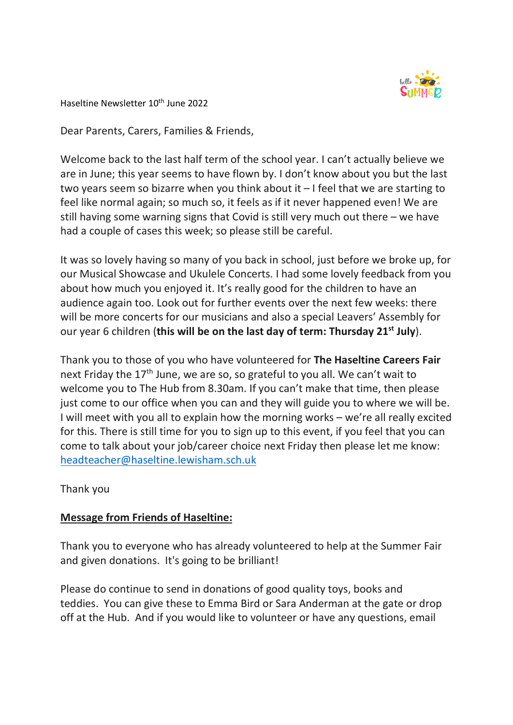

Haseltine Newsletter 10<sup>th</sup> June 2022

Dear Parents, Carers, Families & Friends,

Welcome back to the last half term of the school year. I can't actually believe we are in June; this year seems to have flown by. I don't know about you but the last two years seem so bizarre when you think about it – I feel that we are starting to feel like normal again; so much so, it feels as if it never happened even! We are still having some warning signs that Covid is still very much out there – we have had a couple of cases this week; so please still be careful.

It was so lovely having so many of you back in school, just before we broke up, for our Musical Showcase and Ukulele Concerts. I had some lovely feedback from you about how much you enjoyed it. It's really good for the children to have an audience again too. Look out for further events over the next few weeks: there will be more concerts for our musicians and also a special Leavers' Assembly for our year 6 children (this will be on the last day of term: Thursday 21<sup>st</sup> July).

Thank you to those of you who have volunteered for The Haseltine Careers Fair next Friday the  $17<sup>th</sup>$  June, we are so, so grateful to you all. We can't wait to welcome you to The Hub from 8.30am. If you can't make that time, then please just come to our office when you can and they will guide you to where we will be. I will meet with you all to explain how the morning works – we're all really excited for this. There is still time for you to sign up to this event, if you feel that you can come to talk about your job/career choice next Friday then please let me know: headteacher@haseltine.lewisham.sch.uk

Thank you

### Message from Friends of Haseltine:

Thank you to everyone who has already volunteered to help at the Summer Fair and given donations. It's going to be brilliant!

Please do continue to send in donations of good quality toys, books and teddies. You can give these to Emma Bird or Sara Anderman at the gate or drop off at the Hub. And if you would like to volunteer or have any questions, email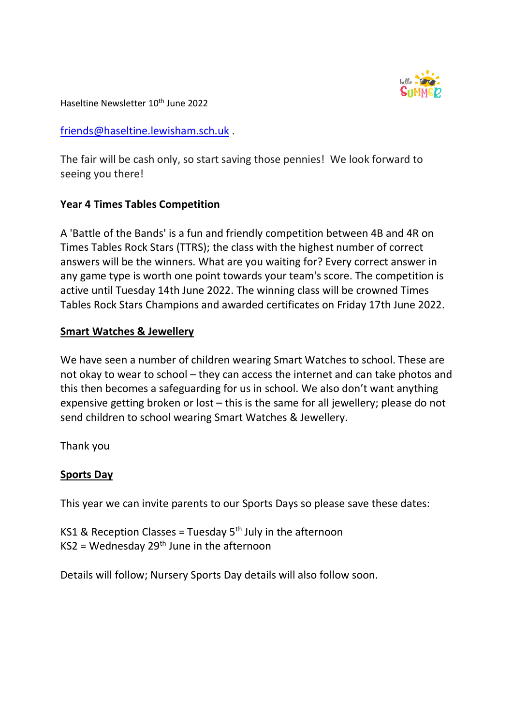

Haseltine Newsletter 10<sup>th</sup> June 2022

friends@haseltine.lewisham.sch.uk .

The fair will be cash only, so start saving those pennies! We look forward to seeing you there!

## Year 4 Times Tables Competition

A 'Battle of the Bands' is a fun and friendly competition between 4B and 4R on Times Tables Rock Stars (TTRS); the class with the highest number of correct answers will be the winners. What are you waiting for? Every correct answer in any game type is worth one point towards your team's score. The competition is active until Tuesday 14th June 2022. The winning class will be crowned Times Tables Rock Stars Champions and awarded certificates on Friday 17th June 2022.

## Smart Watches & Jewellery

We have seen a number of children wearing Smart Watches to school. These are not okay to wear to school – they can access the internet and can take photos and this then becomes a safeguarding for us in school. We also don't want anything expensive getting broken or lost – this is the same for all jewellery; please do not send children to school wearing Smart Watches & Jewellery.

Thank you

## Sports Day

This year we can invite parents to our Sports Days so please save these dates:

KS1 & Reception Classes = Tuesday  $5<sup>th</sup>$  July in the afternoon  $KS2 = Wednesday 29<sup>th</sup> June in the afternoon$ 

Details will follow; Nursery Sports Day details will also follow soon.